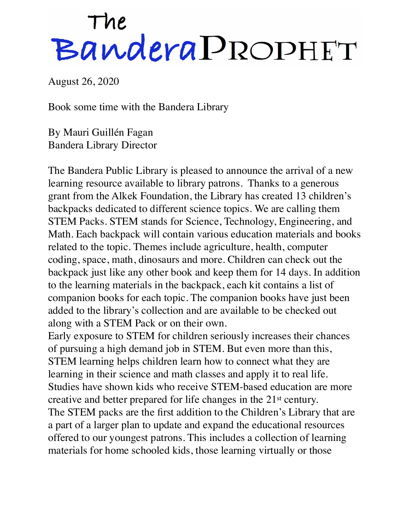## The<br>Bandera PROPHET

August 26, 2020

Book some time with the Bandera Library

By Mauri Guillén Fagan Bandera Library Director

The Bandera Public Library is pleased to announce the arrival of a new learning resource available to library patrons. Thanks to a generous grant from the Alkek Foundation, the Library has created 13 children's backpacks dedicated to different science topics. We are calling them STEM Packs. STEM stands for Science, Technology, Engineering, and Math. Each backpack will contain various education materials and books related to the topic. Themes include agriculture, health, computer coding, space, math, dinosaurs and more. Children can check out the backpack just like any other book and keep them for 14 days. In addition to the learning materials in the backpack, each kit contains a list of companion books for each topic. The companion books have just been added to the library's collection and are available to be checked out along with a STEM Pack or on their own.

Early exposure to STEM for children seriously increases their chances of pursuing a high demand job in STEM. But even more than this, STEM learning helps children learn how to connect what they are learning in their science and math classes and apply it to real life. Studies have shown kids who receive STEM-based education are more creative and better prepared for life changes in the 21st century. The STEM packs are the first addition to the Children's Library that are a part of a larger plan to update and expand the educational resources offered to our youngest patrons. This includes a collection of learning materials for home schooled kids, those learning virtually or those